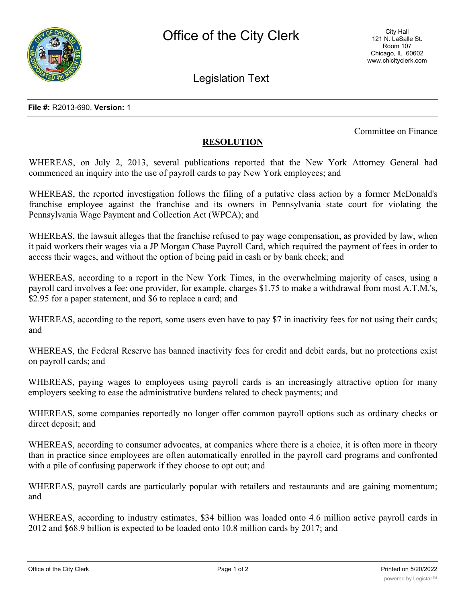

Legislation Text

Committee on Finance

## **RESOLUTION**

WHEREAS, on July 2, 2013, several publications reported that the New York Attorney General had commenced an inquiry into the use of payroll cards to pay New York employees; and

WHEREAS, the reported investigation follows the filing of a putative class action by a former McDonald's franchise employee against the franchise and its owners in Pennsylvania state court for violating the Pennsylvania Wage Payment and Collection Act (WPCA); and

WHEREAS, the lawsuit alleges that the franchise refused to pay wage compensation, as provided by law, when it paid workers their wages via a JP Morgan Chase Payroll Card, which required the payment of fees in order to access their wages, and without the option of being paid in cash or by bank check; and

WHEREAS, according to a report in the New York Times, in the overwhelming majority of cases, using a payroll card involves a fee: one provider, for example, charges \$1.75 to make a withdrawal from most A.T.M.'s, \$2.95 for a paper statement, and \$6 to replace a card; and

WHEREAS, according to the report, some users even have to pay \$7 in inactivity fees for not using their cards; and

WHEREAS, the Federal Reserve has banned inactivity fees for credit and debit cards, but no protections exist on payroll cards; and

WHEREAS, paying wages to employees using payroll cards is an increasingly attractive option for many employers seeking to ease the administrative burdens related to check payments; and

WHEREAS, some companies reportedly no longer offer common payroll options such as ordinary checks or direct deposit; and

WHEREAS, according to consumer advocates, at companies where there is a choice, it is often more in theory than in practice since employees are often automatically enrolled in the payroll card programs and confronted with a pile of confusing paperwork if they choose to opt out; and

WHEREAS, payroll cards are particularly popular with retailers and restaurants and are gaining momentum; and

WHEREAS, according to industry estimates, \$34 billion was loaded onto 4.6 million active payroll cards in 2012 and \$68.9 billion is expected to be loaded onto 10.8 million cards by 2017; and